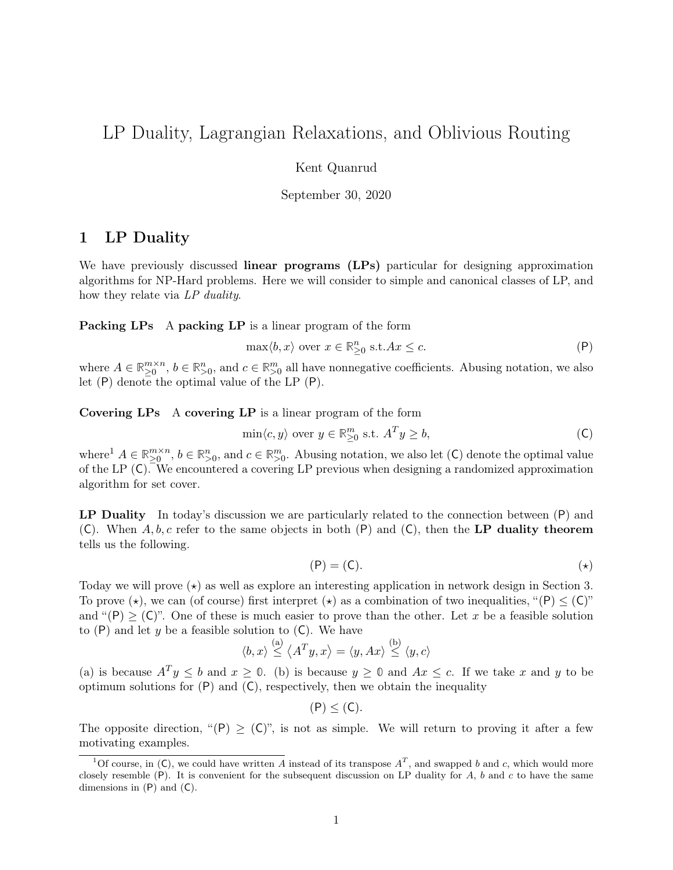# LP Duality, Lagrangian Relaxations, and Oblivious Routing

Kent Quanrud

September 30, 2020

## 1 LP Duality

We have previously discussed **linear programs** (LPs) particular for designing approximation algorithms for NP-Hard problems. Here we will consider to simple and canonical classes of LP, and how they relate via LP duality.

<span id="page-0-0"></span>Packing LPs A packing LP is a linear program of the form

$$
\max \langle b, x \rangle \text{ over } x \in \mathbb{R}_{\geq 0}^n \text{ s.t.} Ax \leq c. \tag{P}
$$

where  $A \in \mathbb{R}_{\geq 0}^{m \times n}$ ,  $b \in \mathbb{R}_{\geq 0}^n$ , and  $c \in \mathbb{R}_{\geq 0}^m$  all have nonnegative coefficients. Abusing notation, we also let ([P](#page-0-0)) denote the optimal value of the LP ([P](#page-0-0)).

<span id="page-0-1"></span>Covering LPs A covering LP is a linear program of the form

$$
\min\langle c, y \rangle \text{ over } y \in \mathbb{R}^m_{\geq 0} \text{ s.t. } A^T y \geq b,
$$
 (C)

where<sup>1</sup>  $A \in \mathbb{R}_{\geq 0}^{m \times n}$ ,  $b \in \mathbb{R}_{>0}^n$ , and  $c \in \mathbb{R}_{>0}^m$ . Abusing notation, we also let ([C](#page-0-1)) denote the optimal value of the LP  $(C)$  $(C)$  $(C)$ . We encountered a covering LP previous when designing a randomized approximation algorithm for set cover.

<span id="page-0-2"></span>L[P](#page-0-0) Duality In today's discussion we are particularly related to the connection between  $(P)$  and ([C](#page-0-1)). When  $A, b, c$  refer to the same objects in both ([P](#page-0-0)) and (C), then the LP duality theorem tells us the following.

$$
(\mathsf{P}) = (\mathsf{C}).\tag{\star}
$$

Today we will prove  $(\star)$  as well as explore an interesting application in network design in [Section 3.](#page-7-0) To prove ( $\star$ [\),](#page-0-2) we can (of course[\)](#page-0-2) first interpret ( $\star$ ) as a combination of two inequalities, "([P](#page-0-0))  $\leq$  ([C](#page-0-1))" and " $(P) \geq (C)$  $(P) \geq (C)$  $(P) \geq (C)$  $(P) \geq (C)$  $(P) \geq (C)$ ". One of these is much easier to prove than the other. Let x be a feasible solution to  $(P)$  $(P)$  $(P)$  and let y be a feasible solution to  $(C)$  $(C)$  $(C)$ . We have

$$
\langle b, x \rangle \stackrel{\text{(a)}}{\leq} \langle A^T y, x \rangle = \langle y, Ax \rangle \stackrel{\text{(b)}}{\leq} \langle y, c \rangle
$$

(a) is because  $A^T y \leq b$  and  $x \geq 0$ . (b) is because  $y \geq 0$  and  $Ax \leq c$ . If we take x and y to be optimum solutions for  $(P)$  $(P)$  $(P)$  and  $(C)$  $(C)$  $(C)$ , respectively, then we obtain the inequality

 $(P) < (C)$  $(P) < (C)$  $(P) < (C)$  $(P) < (C)$  $(P) < (C)$ .

The opposite direction, " $(P) \geq (C)$  $(P) \geq (C)$  $(P) \geq (C)$  $(P) \geq (C)$  $(P) \geq (C)$ ", is not as simple. We will return to proving it after a few motivating examples.

<sup>&</sup>lt;sup>1</sup>Of course, in ([C](#page-0-1)), we could have written A instead of its transpose  $A<sup>T</sup>$ , and swapped b and c, which would more closely resemble  $(P)$  $(P)$  $(P)$ . It is convenient for the subsequent discussion on LP duality for A, b and c to have the same dimensions in  $(P)$  $(P)$  $(P)$  and  $(C)$  $(C)$  $(C)$ .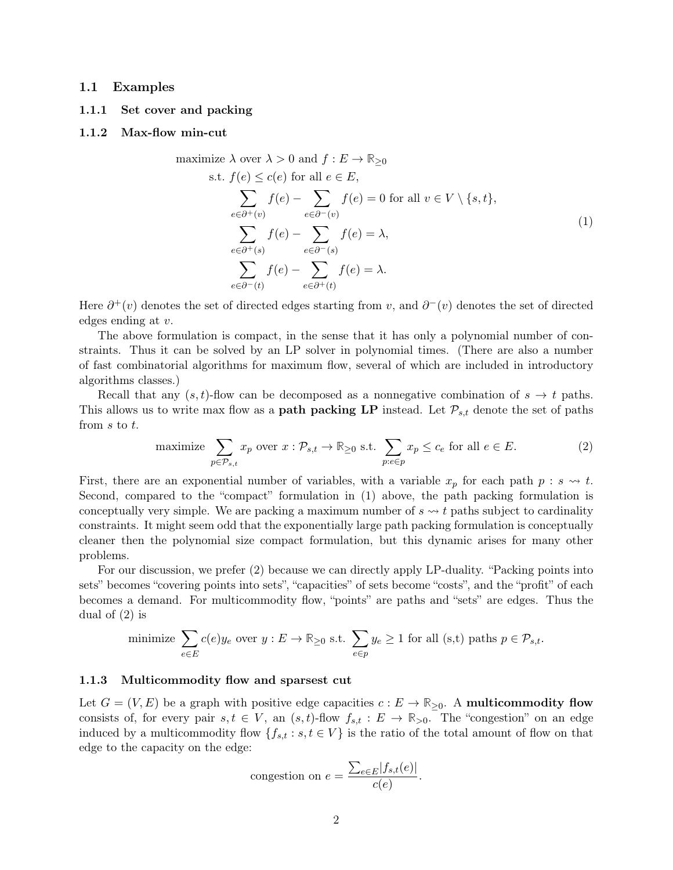### 1.1 Examples

### 1.1.1 Set cover and packing

### <span id="page-1-0"></span>1.1.2 Max-flow min-cut

maximize 
$$
\lambda
$$
 over  $\lambda > 0$  and  $f : E \to \mathbb{R}_{\geq 0}$   
\ns.t.  $f(e) \leq c(e)$  for all  $e \in E$ ,  
\n
$$
\sum_{e \in \partial^+(v)} f(e) - \sum_{e \in \partial^-(v)} f(e) = 0 \text{ for all } v \in V \setminus \{s, t\},
$$
\n
$$
\sum_{e \in \partial^+(s)} f(e) - \sum_{e \in \partial^-(s)} f(e) = \lambda,
$$
\n
$$
\sum_{e \in \partial^-(t)} f(e) - \sum_{e \in \partial^+(t)} f(e) = \lambda.
$$
\n(1)

Here  $\partial^+(v)$  denotes the set of directed edges starting from v, and  $\partial^-(v)$  denotes the set of directed edges ending at v.

The above formulation is compact, in the sense that it has only a polynomial number of constraints. Thus it can be solved by an LP solver in polynomial times. (There are also a number of fast combinatorial algorithms for maximum flow, several of which are included in introductory algorithms classes.)

Recall that any  $(s, t)$ -flow can be decomposed as a nonnegative combination of  $s \to t$  paths. This allows us to write max flow as a **path packing LP** instead. Let  $\mathcal{P}_{s,t}$  denote the set of paths from s to t.

maximize 
$$
\sum_{p \in \mathcal{P}_{s,t}} x_p
$$
 over  $x : \mathcal{P}_{s,t} \to \mathbb{R}_{\geq 0}$  s.t.  $\sum_{p: e \in p} x_p \leq c_e$  for all  $e \in E$ . (2)

First, there are an exponential number of variables, with a variable  $x_p$  for each path  $p : s \leadsto t$ . Second, compared to the "compact" formulation in  $(1)$  above, the path packing formulation is conceptually very simple. We are packing a maximum number of  $s \rightarrow t$  paths subject to cardinality constraints. It might seem odd that the exponentially large path packing formulation is conceptually cleaner then the polynomial size compact formulation, but this dynamic arises for many other problems.

For our discussion, we prefer [\(2\)](#page-1-0) because we can directly apply LP-duality. "Packing points into sets" becomes "covering points into sets", "capacities" of sets become "costs", and the "profit" of each becomes a demand. For multicommodity flow, "points" are paths and "sets" are edges. Thus the dual of [\(2\)](#page-1-0) is

minimize 
$$
\sum_{e \in E} c(e)y_e
$$
 over  $y : E \to \mathbb{R}_{\geq 0}$  s.t.  $\sum_{e \in p} y_e \geq 1$  for all (s,t) paths  $p \in \mathcal{P}_{s,t}$ .

#### 1.1.3 Multicommodity flow and sparsest cut

Let  $G = (V, E)$  be a graph with positive edge capacities  $c : E \to \mathbb{R}_{\geq 0}$ . A **multicommodity flow** consists of, for every pair  $s, t \in V$ , an  $(s, t)$ -flow  $f_{s,t} : E \to \mathbb{R}_{>0}$ . The "congestion" on an edge induced by a multicommodity flow  $\{f_{s,t} : s, t \in V\}$  is the ratio of the total amount of flow on that edge to the capacity on the edge:

congestion on 
$$
e = \frac{\sum_{e \in E} |f_{s,t}(e)|}{c(e)}
$$
.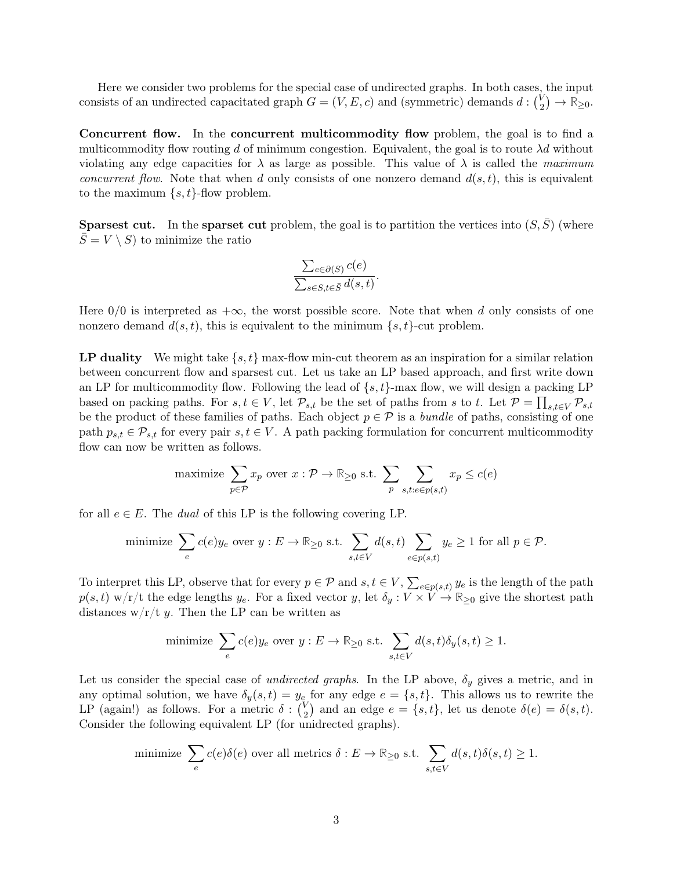Here we consider two problems for the special case of undirected graphs. In both cases, the input consists of an undirected capacitated graph  $G = (V, E, c)$  and (symmetric) demands  $d : \binom{V}{2}$  $\binom{V}{2} \rightarrow \mathbb{R}_{\geq 0}.$ 

Concurrent flow. In the concurrent multicommodity flow problem, the goal is to find a multicommodity flow routing d of minimum congestion. Equivalent, the goal is to route  $\lambda d$  without violating any edge capacities for  $\lambda$  as large as possible. This value of  $\lambda$  is called the maximum *concurrent flow.* Note that when d only consists of one nonzero demand  $d(s, t)$ , this is equivalent to the maximum  $\{s, t\}$ -flow problem.

**Sparsest cut.** In the **sparset cut** problem, the goal is to partition the vertices into  $(S, \overline{S})$  (where  $S = V \setminus S$  to minimize the ratio

$$
\frac{\sum_{e \in \partial(S)} c(e)}{\sum_{s \in S, t \in \bar{S}} d(s, t)}.
$$

Here  $0/0$  is interpreted as  $+\infty$ , the worst possible score. Note that when d only consists of one nonzero demand  $d(s, t)$ , this is equivalent to the minimum  $\{s, t\}$ -cut problem.

<span id="page-2-0"></span>**LP duality** We might take  $\{s, t\}$  max-flow min-cut theorem as an inspiration for a similar relation between concurrent flow and sparsest cut. Let us take an LP based approach, and first write down an LP for multicommodity flow. Following the lead of  $\{s, t\}$ -max flow, we will design a packing LP based on packing paths. For  $s, t \in V$ , let  $\mathcal{P}_{s,t}$  be the set of paths from s to t. Let  $\mathcal{P} = \prod_{s,t \in V} \mathcal{P}_{s,t}$ be the product of these families of paths. Each object  $p \in \mathcal{P}$  is a bundle of paths, consisting of one path  $p_{s,t} \in \mathcal{P}_{s,t}$  for every pair  $s,t \in V$ . A path packing formulation for concurrent multicommodity flow can now be written as follows.

maximize 
$$
\sum_{p \in \mathcal{P}} x_p
$$
 over  $x : \mathcal{P} \to \mathbb{R}_{\geq 0}$  s.t.  $\sum_p \sum_{s,t: e \in p(s,t)} x_p \leq c(e)$ 

for all  $e \in E$ . The *dual* of this LP is the following covering LP.

minimize 
$$
\sum_{e} c(e)y_e
$$
 over  $y : E \to \mathbb{R}_{\geq 0}$  s.t.  $\sum_{s,t \in V} d(s,t) \sum_{e \in p(s,t)} y_e \geq 1$  for all  $p \in \mathcal{P}$ .

To interpret this LP, observe that for every  $p \in \mathcal{P}$  and  $s, t \in V$ ,  $\sum_{e \in p(s,t)} y_e$  is the length of the path  $p(s,t)$  w/r/t the edge lengths  $y_e$ . For a fixed vector y, let  $\delta_y: V \times V \to \mathbb{R}_{\geq 0}$  give the shortest path distances  $w/r/t$  y. Then the LP can be written as

minimize 
$$
\sum_{e} c(e)y_e
$$
 over  $y : E \to \mathbb{R}_{\geq 0}$  s.t.  $\sum_{s,t \in V} d(s,t)\delta_y(s,t) \geq 1$ .

Let us consider the special case of *undirected graphs*. In the LP above,  $\delta_y$  gives a metric, and in any optimal solution, we have  $\delta_y(s,t) = y_e$  for any edge  $e = \{s,t\}$ . This allows us to rewrite the LP (again!) as follows. For a metric  $\delta: \binom{V_2}{2}$  $\binom{V}{2}$  and an edge  $e = \{s, t\}$ , let us denote  $\delta(e) = \delta(s, t)$ . Consider the following equivalent LP (for unidrected graphs).

minimize 
$$
\sum_{e} c(e)\delta(e)
$$
 over all metrics  $\delta: E \to \mathbb{R}_{\geq 0}$  s.t.  $\sum_{s,t \in V} d(s,t)\delta(s,t) \geq 1$ .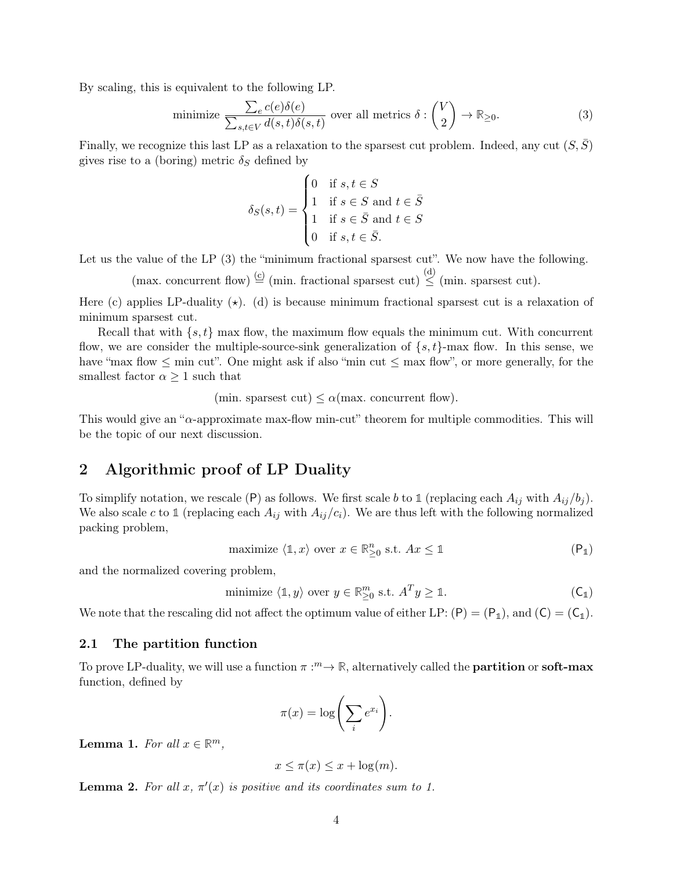By scaling, this is equivalent to the following LP.

minimize 
$$
\frac{\sum_{e} c(e)\delta(e)}{\sum_{s,t \in V} d(s,t)\delta(s,t)}
$$
 over all metrics  $\delta: \binom{V}{2} \to \mathbb{R}_{\geq 0}$ . (3)

Finally, we recognize this last LP as a relaxation to the sparsest cut problem. Indeed, any cut  $(S, \overline{S})$ gives rise to a (boring) metric  $\delta_S$  defined by

$$
\delta_S(s,t) = \begin{cases}\n0 & \text{if } s, t \in S \\
1 & \text{if } s \in S \text{ and } t \in \bar{S} \\
1 & \text{if } s \in \bar{S} \text{ and } t \in S \\
0 & \text{if } s, t \in \bar{S}.\n\end{cases}
$$

Let us the value of the LP  $(3)$  the "minimum fractional sparsest cut". We now have the following.

(max. concurrent flow)  $\stackrel{(c)}{=}$  (min. fractional sparsest cut)  $\stackrel{(d)}{\leq}$  (min. sparsest cut).

Here (c) applies LP-duality  $(\star)$ . (d) is because minimum fractional sparsest cut is a relaxation of minimum sparsest cut.

Recall that with  $\{s, t\}$  max flow, the maximum flow equals the minimum cut. With concurrent flow, we are consider the multiple-source-sink generalization of  $\{s, t\}$ -max flow. In this sense, we have "max flow  $\leq$  min cut". One might ask if also "min cut  $\leq$  max flow", or more generally, for the smallest factor  $\alpha \geq 1$  such that

(min. sparsest cut)  $\leq \alpha$ (max. concurrent flow).

This would give an "α-approximate max-flow min-cut" theorem for multiple commodities. This will be the topic of our next discussion.

## <span id="page-3-0"></span>2 Algorithmic proof of LP Duality

To simplify notation, we rescale ([P](#page-0-0)) as follows. We first scale b to 1 (replacing each  $A_{ij}$  with  $A_{ij}/b_j$ ). We also scale c to 1 (replacing each  $A_{ij}$  with  $A_{ij}/c_i$ ). We are thus left with the following normalized packing problem,

$$
\text{maximize} \ \langle \mathbb{1}, x \rangle \ \text{over } x \in \mathbb{R}_{\geq 0}^n \ \text{s.t.} \ Ax \leq \mathbb{1}
$$

and the normalized covering problem,

minimize 
$$
\langle \mathbb{1}, y \rangle
$$
 over  $y \in \mathbb{R}_{\geq 0}^m$  s.t.  $A^T y \geq \mathbb{1}$ .  $(C_1)$ 

We note that the rescaling did not affect the optimum value of either L[P](#page-0-0):  $(P) = (P_1)$  $(P) = (P_1)$  $(P) = (P_1)$ , and  $(C) = (C_1)$  $(C) = (C_1)$  $(C) = (C_1)$ .

### 2.1 The partition function

To prove LP-duality, we will use a function  $\pi : \infty$ , alternatively called the **partition** or **soft-max** function, defined by

$$
\pi(x) = \log\left(\sum_i e^{x_i}\right).
$$

Lemma 1. For all  $x \in \mathbb{R}^m$ ,

$$
x \le \pi(x) \le x + \log(m).
$$

**Lemma 2.** For all  $x, \pi'(x)$  is positive and its coordinates sum to 1.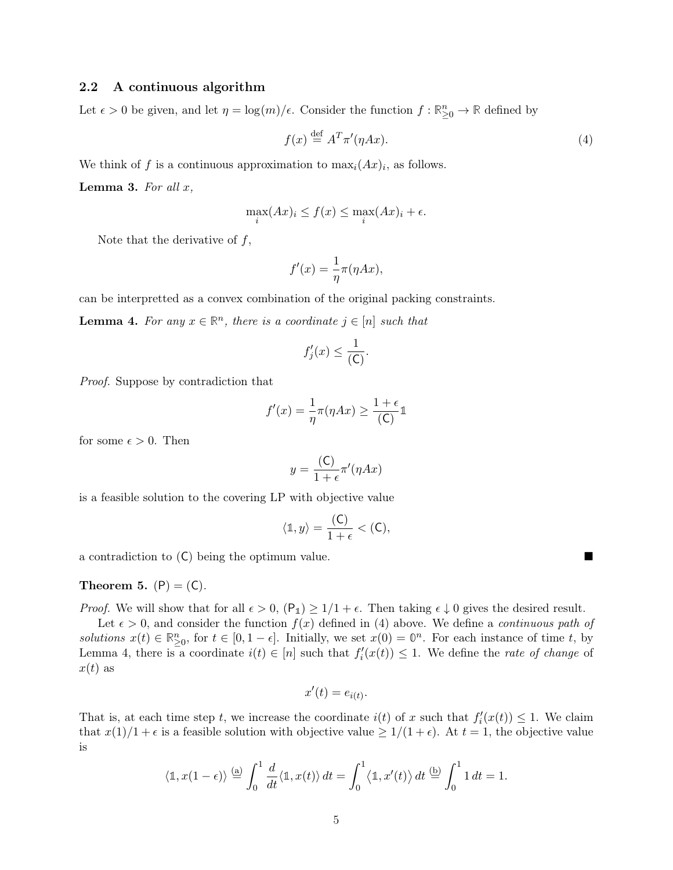### <span id="page-4-0"></span>2.2 A continuous algorithm

Let  $\epsilon > 0$  be given, and let  $\eta = \log(m)/\epsilon$ . Consider the function  $f : \mathbb{R}^n_{\geq 0} \to \mathbb{R}$  defined by

$$
f(x) \stackrel{\text{def}}{=} A^T \pi'(\eta Ax). \tag{4}
$$

We think of f is a continuous approximation to  $\max_i (Ax)_i$ , as follows.

**Lemma 3.** For all  $x$ ,

$$
\max_{i} (Ax)_i \le f(x) \le \max_{i} (Ax)_i + \epsilon.
$$

Note that the derivative of  $f$ ,

$$
f'(x) = \frac{1}{\eta} \pi(\eta Ax),
$$

can be interpretted as a convex combination of the original packing constraints.

<span id="page-4-1"></span>**Lemma 4.** For any  $x \in \mathbb{R}^n$ , there is a coordinate  $j \in [n]$  such that

$$
f_j'(x) \le \frac{1}{(\mathsf{C})}.
$$

Proof. Suppose by contradiction that

$$
f'(x) = \frac{1}{\eta} \pi(\eta Ax) \ge \frac{1+\epsilon}{\text{(C)}} \mathbb{1}
$$

for some  $\epsilon > 0$ . Then

$$
y = \frac{(\mathsf{C})}{1 + \epsilon} \pi'(\eta Ax)
$$

is a feasible solution to the covering LP with objective value

$$
\langle \mathbb{1}, y \rangle = \frac{(\mathsf{C})}{1 + \epsilon} < (\mathsf{C}),
$$

a contradiction to ([C](#page-0-1)) being the optimum value.

<span id="page-4-2"></span>Theorem 5.  $(P) = (C)$  $(P) = (C)$  $(P) = (C)$  $(P) = (C)$  $(P) = (C)$ .

*[P](#page-3-0)roof.* We will show that for all  $\epsilon > 0$ ,  $(P_1) \ge 1/1 + \epsilon$ . Then taking  $\epsilon \downarrow 0$  gives the desired result.

Let  $\epsilon > 0$ , and consider the function  $f(x)$  defined in [\(4\)](#page-4-0) above. We define a *continuous path of* solutions  $x(t) \in \mathbb{R}^n_{\geq 0}$ , for  $t \in [0, 1 - \epsilon]$ . Initially, we set  $x(0) = \mathbb{0}^n$ . For each instance of time t, by [Lemma 4,](#page-4-1) there is a coordinate  $i(t) \in [n]$  such that  $f_i'(x(t)) \leq 1$ . We define the *rate of change* of  $x(t)$  as

$$
x'(t) = e_{i(t)}.
$$

That is, at each time step t, we increase the coordinate  $i(t)$  of x such that  $f_i'(x(t)) \leq 1$ . We claim that  $x(1)/1 + \epsilon$  is a feasible solution with objective value  $\geq 1/(1 + \epsilon)$ . At  $t = 1$ , the objective value is

$$
\langle \mathbb{1}, x(1-\epsilon) \rangle \stackrel{\text{(a)}}{=} \int_0^1 \frac{d}{dt} \langle \mathbb{1}, x(t) \rangle dt = \int_0^1 \langle \mathbb{1}, x'(t) \rangle dt \stackrel{\text{(b)}}{=} \int_0^1 1 dt = 1.
$$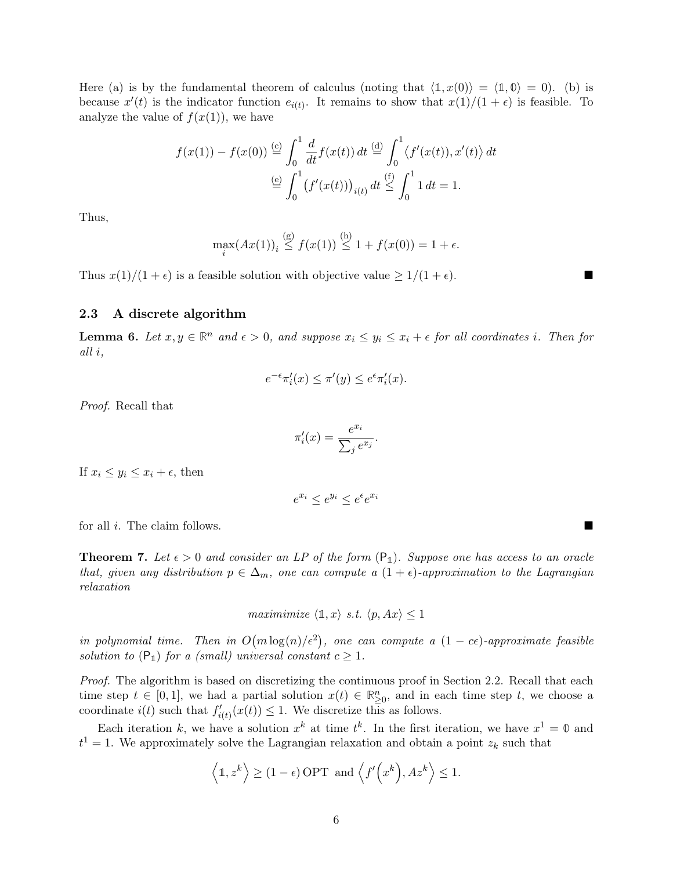Here (a) is by the fundamental theorem of calculus (noting that  $\langle 1, x(0) \rangle = \langle 1, 0 \rangle = 0$ ). (b) is because  $x'(t)$  is the indicator function  $e_{i(t)}$ . It remains to show that  $x(1)/(1 + \epsilon)$  is feasible. To analyze the value of  $f(x(1))$ , we have

$$
f(x(1)) - f(x(0)) \stackrel{\text{(c)}}{=} \int_0^1 \frac{d}{dt} f(x(t)) dt \stackrel{\text{(d)}}{=} \int_0^1 \langle f'(x(t)), x'(t) \rangle dt
$$

$$
\stackrel{\text{(e)}}{=} \int_0^1 \left( f'(x(t)) \right)_{i(t)} dt \stackrel{\text{(f)}}{=} \int_0^1 1 dt = 1.
$$

Thus,

$$
\max_{i} (Ax(1))_{i} \stackrel{\text{(g)}}{\leq} f(x(1)) \stackrel{\text{(h)}}{\leq} 1 + f(x(0)) = 1 + \epsilon.
$$

Thus  $x(1)/(1 + \epsilon)$  is a feasible solution with objective value  $\geq 1/(1 + \epsilon)$ .

### <span id="page-5-1"></span>2.3 A discrete algorithm

**Lemma 6.** Let  $x, y \in \mathbb{R}^n$  and  $\epsilon > 0$ , and suppose  $x_i \leq y_i \leq x_i + \epsilon$  for all coordinates i. Then for all i,

$$
e^{-\epsilon}\pi'_i(x) \le \pi'(y) \le e^{\epsilon}\pi'_i(x).
$$

Proof. Recall that

$$
\pi'_i(x) = \frac{e^{x_i}}{\sum_j e^{x_j}}.
$$

If  $x_i \leq y_i \leq x_i + \epsilon$ , then

$$
e^{x_i} \leq e^{y_i} \leq e^{\epsilon} e^{x_i}
$$

for all i. The claim follows.

<span id="page-5-0"></span>**Theorem 7.** Let  $\epsilon > 0$  and consider an L[P](#page-3-0) of the form  $(P_1)$ . Suppose one has access to an oracle that, given any distribution  $p \in \Delta_m$ , one can compute a  $(1 + \epsilon)$ -approximation to the Lagrangian relaxation

$$
maximinize \langle 1, x \rangle s.t. \langle p, Ax \rangle \le 1
$$

in polynomial time. Then in  $O(m \log(n)/\epsilon^2)$ , one can compute a  $(1 - c\epsilon)$ -approximate feasible solution to  $(P_1)$  $(P_1)$  $(P_1)$  for a (small) universal constant  $c \geq 1$ .

Proof. The algorithm is based on discretizing the continuous proof in [Section 2.2.](#page-4-0) Recall that each time step  $t \in [0,1]$ , we had a partial solution  $x(t) \in \mathbb{R}_{\geq 0}^n$ , and in each time step t, we choose a coordinate  $i(t)$  such that  $f'_{i(t)}(x(t)) \leq 1$ . We discretize this as follows.

Each iteration k, we have a solution  $x^k$  at time  $t^k$ . In the first iteration, we have  $x^1 = 0$  and  $t^1 = 1$ . We approximately solve the Lagrangian relaxation and obtain a point  $z_k$  such that

$$
\langle \mathbb{1}, z^k \rangle \ge (1 - \epsilon) \text{ OPT}
$$
 and  $\langle f'(x^k), Az^k \rangle \le 1$ .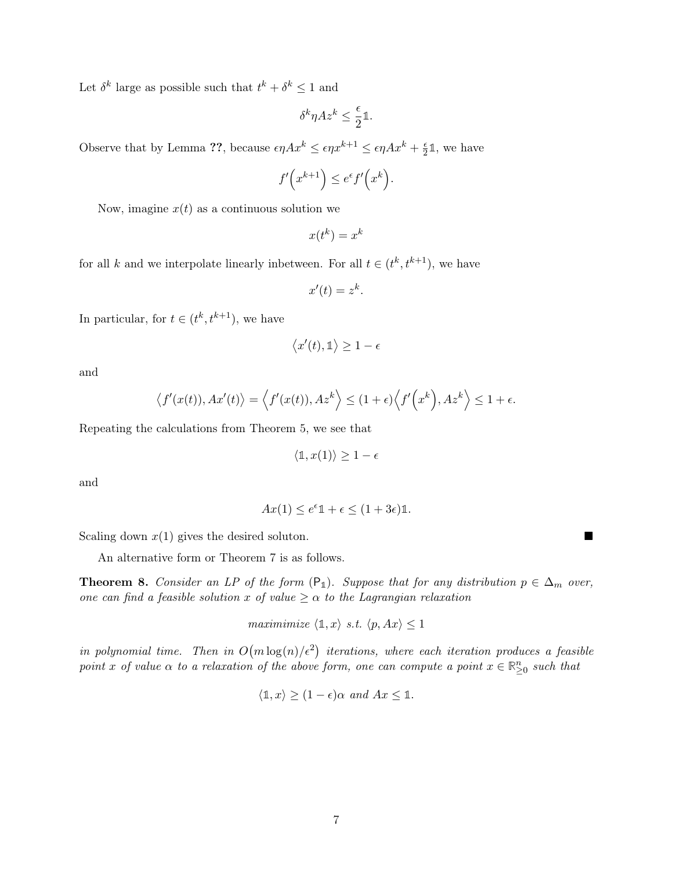Let  $\delta^k$  large as possible such that  $t^k + \delta^k \leq 1$  and

$$
\delta^k\eta Az^k\leq \frac{\epsilon}{2}\mathbb{1}.
$$

Observe that by Lemma ??, because  $\epsilon \eta A x^k \leq \epsilon \eta x^{k+1} \leq \epsilon \eta A x^k + \frac{\epsilon}{2}$  $\frac{\epsilon}{2}$ 1, we have

$$
f'\left(x^{k+1}\right) \leq e^{\epsilon} f'\left(x^k\right).
$$

Now, imagine  $x(t)$  as a continuous solution we

$$
x(t^k) = x^k
$$

for all k and we interpolate linearly inbetween. For all  $t \in (t^k, t^{k+1})$ , we have

$$
x'(t) = z^k.
$$

In particular, for  $t \in (t^k, t^{k+1})$ , we have

$$
\langle x'(t), \mathbb{1} \rangle \ge 1 - \epsilon
$$

and

$$
\langle f'(x(t)), Ax'(t) \rangle = \langle f'(x(t)), Az^k \rangle \le (1+\epsilon) \langle f'(x^k), Az^k \rangle \le 1+\epsilon.
$$

Repeating the calculations from [Theorem 5,](#page-4-2) we see that

$$
\langle \mathbb{1}, x(1) \rangle \ge 1 - \epsilon
$$

and

$$
Ax(1) \le e^{\epsilon} \mathbb{1} + \epsilon \le (1 + 3\epsilon)\mathbb{1}.
$$

Scaling down  $x(1)$  gives the desired soluton.

An alternative form or [Theorem 7](#page-5-0) is as follows.

**Theorem 8.** Consider an L[P](#page-3-0) of the form  $(P_1)$ . Suppose that for any distribution  $p \in \Delta_m$  over, one can find a feasible solution x of value  $\geq \alpha$  to the Lagrangian relaxation

maximimize  $\langle \mathbb{1}, x \rangle$  s.t.  $\langle p, Ax \rangle \leq 1$ 

in polynomial time. Then in  $O(m \log(n)/\epsilon^2)$  iterations, where each iteration produces a feasible point x of value  $\alpha$  to a relaxation of the above form, one can compute a point  $x \in \mathbb{R}^n_{\geq 0}$  such that

$$
\langle \mathbb{1}, x \rangle \ge (1 - \epsilon)\alpha \text{ and } Ax \le \mathbb{1}.
$$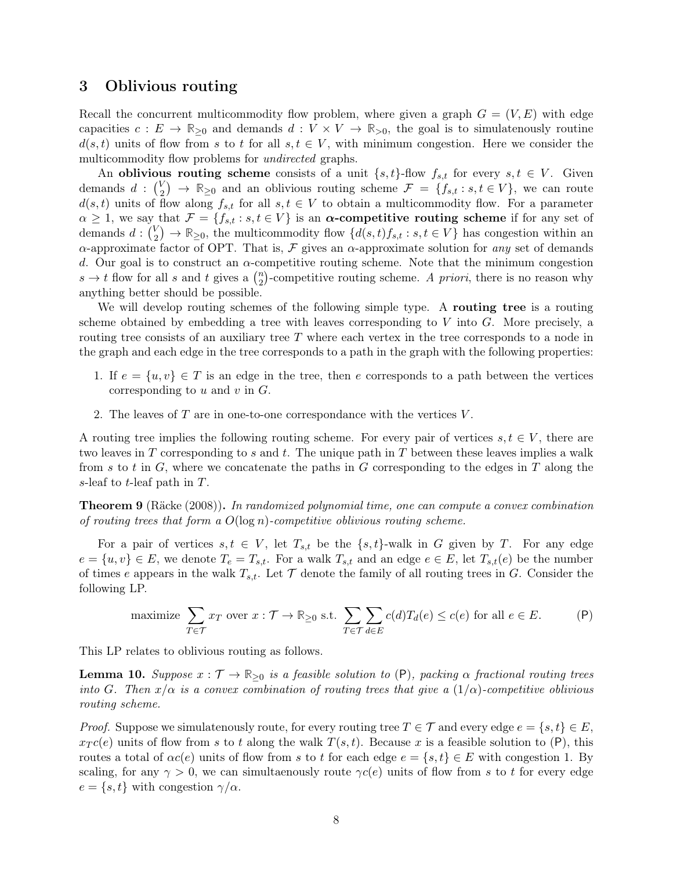## <span id="page-7-0"></span>3 Oblivious routing

Recall the concurrent multicommodity flow problem, where given a graph  $G = (V, E)$  with edge capacities  $c: E \to \mathbb{R}_{\geq 0}$  and demands  $d: V \times V \to \mathbb{R}_{\geq 0}$ , the goal is to simulatenously routine  $d(s, t)$  units of flow from s to t for all  $s, t \in V$ , with minimum congestion. Here we consider the multicommodity flow problems for *undirected* graphs.

An oblivious routing scheme consists of a unit  $\{s, t\}$ -flow  $f_{s,t}$  for every  $s, t \in V$ . Given demands  $d: \begin{pmatrix} V \\ 2 \end{pmatrix}$  $\mathcal{L}_2^{\vee}$   $\rightarrow \mathbb{R}_{\geq 0}$  and an oblivious routing scheme  $\mathcal{F} = \{f_{s,t} : s, t \in V\}$ , we can route  $d(s,t)$  units of flow along  $f_{s,t}$  for all  $s,t \in V$  to obtain a multicommodity flow. For a parameter  $\alpha \geq 1$ , we say that  $\mathcal{F} = \{f_{s,t} : s,t \in V\}$  is an  $\alpha$ -competitive routing scheme if for any set of demands  $d: \begin{pmatrix} V \\ 2 \end{pmatrix}$  $\mathbb{R}^{V}_{\geq}$   $\rightarrow \mathbb{R}_{\geq 0}$ , the multicommodity flow  $\{d(s,t)f_{s,t} : s,t \in V\}$  has congestion within an  $\alpha$ -approximate factor of OPT. That is,  $\mathcal F$  gives an  $\alpha$ -approximate solution for any set of demands d. Our goal is to construct an  $\alpha$ -competitive routing scheme. Note that the minimum congestion  $s \to t$  flow for all s and t gives a  $\binom{n}{2}$  $n_2$ )-competitive routing scheme. A priori, there is no reason why anything better should be possible.

We will develop routing schemes of the following simple type. A routing tree is a routing scheme obtained by embedding a tree with leaves corresponding to  $V$  into  $G$ . More precisely, a routing tree consists of an auxiliary tree  $T$  where each vertex in the tree corresponds to a node in the graph and each edge in the tree corresponds to a path in the graph with the following properties:

- 1. If  $e = \{u, v\} \in T$  is an edge in the tree, then e corresponds to a path between the vertices corresponding to  $u$  and  $v$  in  $G$ .
- 2. The leaves of  $T$  are in one-to-one correspondance with the vertices  $V$ .

A routing tree implies the following routing scheme. For every pair of vertices  $s, t \in V$ , there are two leaves in  $T$  corresponding to  $s$  and  $t$ . The unique path in  $T$  between these leaves implies a walk from s to t in G, where we concatenate the paths in G corresponding to the edges in T along the s-leaf to t-leaf path in T.

<span id="page-7-1"></span>Theorem 9 (Räcke [\(2008\)](#page-10-0)). In randomized polynomial time, one can compute a convex combination of routing trees that form a  $O(\log n)$ -competitive oblivious routing scheme.

For a pair of vertices  $s, t \in V$ , let  $T_{s,t}$  be the  $\{s,t\}$ -walk in G given by T. For any edge  $e = \{u, v\} \in E$ , we denote  $T_e = T_{s,t}$ . For a walk  $T_{s,t}$  and an edge  $e \in E$ , let  $T_{s,t}(e)$  be the number of times e appears in the walk  $T_{s,t}$ . Let  $\mathcal T$  denote the family of all routing trees in G. Consider the following LP.

maximize 
$$
\sum_{T \in \mathcal{T}} x_T
$$
 over  $x : \mathcal{T} \to \mathbb{R}_{\geq 0}$  s.t.  $\sum_{T \in \mathcal{T}} \sum_{d \in E} c(d) T_d(e) \leq c(e)$  for all  $e \in E$ . (P)

This LP relates to oblivious routing as follows.

<span id="page-7-2"></span>**Lemma 10.** Suppose  $x : \mathcal{T} \to \mathbb{R}_{\geq 0}$  is a feasible solution to  $(P)$  $(P)$  $(P)$ , packing  $\alpha$  fractional routing trees into G. Then  $x/\alpha$  is a convex combination of routing trees that give a  $(1/\alpha)$ -competitive oblivious routing scheme.

*Proof.* Suppose we simulatenously route, for every routing tree  $T \in \mathcal{T}$  and every edge  $e = \{s, t\} \in E$ ,  $x_T c(e)$  units of flow from s to t along the walk  $T(s,t)$ . Because x is a feasible solution to ([P](#page-7-1)), this routes a total of  $\alpha c(e)$  units of flow from s to t for each edge  $e = \{s, t\} \in E$  with congestion 1. By scaling, for any  $\gamma > 0$ , we can simultaenously route  $\gamma c(e)$  units of flow from s to t for every edge  $e = \{s, t\}$  with congestion  $\gamma/\alpha$ .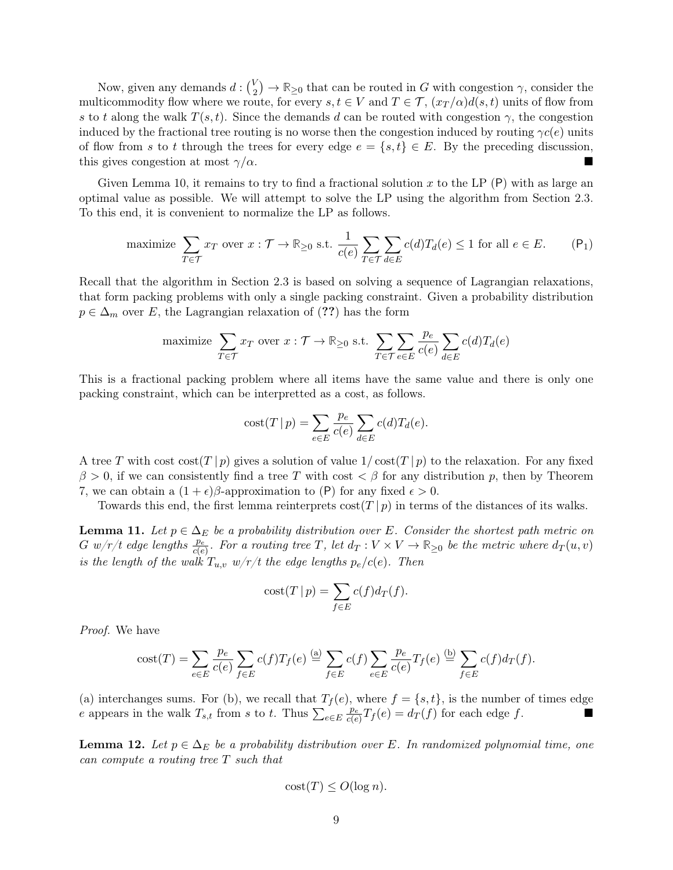Now, given any demands  $d: \binom{V}{2}$  $\mathbb{R}_2^V$   $\rightarrow$  R<sub>20</sub> that can be routed in G with congestion  $\gamma$ , consider the multicommodity flow where we route, for every  $s, t \in V$  and  $T \in \mathcal{T}$ ,  $(x_T/\alpha)d(s, t)$  units of flow from s to t along the walk  $T(s,t)$ . Since the demands d can be routed with congestion  $\gamma$ , the congestion induced by the fractional tree routing is no worse then the congestion induced by routing  $\gamma c(e)$  units of flow from s to t through the trees for every edge  $e = \{s, t\} \in E$ . By the preceding discussion, this gives congestion at most  $\gamma/\alpha$ .

Given [Lemma 10,](#page-7-2) it remains to try to find a fractional solution x to the L[P](#page-7-1)  $(P)$  with as large an optimal value as possible. We will attempt to solve the LP using the algorithm from [Section 2.3.](#page-5-1) To this end, it is convenient to normalize the LP as follows.

maximize 
$$
\sum_{T \in \mathcal{T}} x_T
$$
 over  $x : \mathcal{T} \to \mathbb{R}_{\geq 0}$  s.t.  $\frac{1}{c(e)} \sum_{T \in \mathcal{T}} \sum_{d \in E} c(d) T_d(e) \leq 1$  for all  $e \in E$ . (P<sub>1</sub>)

Recall that the algorithm in [Section 2.3](#page-5-1) is based on solving a sequence of Lagrangian relaxations, that form packing problems with only a single packing constraint. Given a probability distribution  $p \in \Delta_m$  over E, the Lagrangian relaxation of (??) has the form

maximize 
$$
\sum_{T \in \mathcal{T}} x_T
$$
 over  $x : \mathcal{T} \to \mathbb{R}_{\geq 0}$  s.t.  $\sum_{T \in \mathcal{T}} \sum_{e \in E} \frac{p_e}{c(e)} \sum_{d \in E} c(d) T_d(e)$ 

This is a fractional packing problem where all items have the same value and there is only one packing constraint, which can be interpretted as a cost, as follows.

$$
cost(T | p) = \sum_{e \in E} \frac{p_e}{c(e)} \sum_{d \in E} c(d) T_d(e).
$$

A tree T with cost  $\cot(T|p)$  gives a solution of value  $1/\cot(T|p)$  to the relaxation. For any fixed  $\beta > 0$ , if we can consistently find a tree T with cost  $\lt \beta$  for any distribution p, then by [Theorem](#page-5-0) [7,](#page-5-0) we can obtain a  $(1 + \epsilon)\beta$ -approximation to ([P](#page-7-1)) for any fixed  $\epsilon > 0$ .

Towards this end, the first lemma reinterprets  $\cot(T|p)$  in terms of the distances of its walks.

<span id="page-8-0"></span>**Lemma 11.** Let  $p \in \Delta_E$  be a probability distribution over E. Consider the shortest path metric on  $G \cdot w/r/t$  edge lengths  $\frac{p_e}{c(e)}$ . For a routing tree T, let  $d_T : V \times V \to \mathbb{R}_{\geq 0}$  be the metric where  $d_T(u, v)$ is the length of the walk  $T_{u,v}$  w/r/t the edge lengths  $p_e/c(e)$ . Then

$$
cost(T | p) = \sum_{f \in E} c(f) d_T(f).
$$

Proof. We have

$$
\operatorname{cost}(T) = \sum_{e \in E} \frac{p_e}{c(e)} \sum_{f \in E} c(f) T_f(e) \stackrel{\text{(a)}}{=} \sum_{f \in E} c(f) \sum_{e \in E} \frac{p_e}{c(e)} T_f(e) \stackrel{\text{(b)}}{=} \sum_{f \in E} c(f) d_T(f).
$$

(a) interchanges sums. For (b), we recall that  $T_f(e)$ , where  $f = \{s, t\}$ , is the number of times edge e appears in the walk  $T_{s,t}$  from s to t. Thus  $\sum_{e \in E} \frac{p_e}{c(e)}$  $\frac{p_e}{c(e)}T_f(e) = d_T(f)$  for each edge f.

<span id="page-8-1"></span>**Lemma 12.** Let  $p \in \Delta_E$  be a probability distribution over E. In randomized polynomial time, one can compute a routing tree T such that

$$
cost(T) \le O(\log n).
$$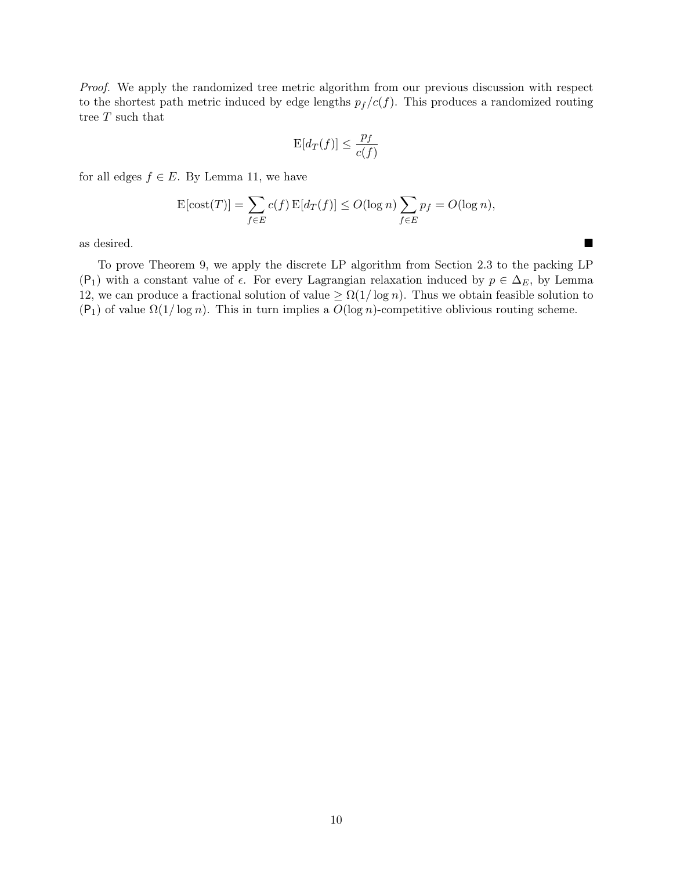Proof. We apply the randomized tree metric algorithm from our previous discussion with respect to the shortest path metric induced by edge lengths  $p_f / c(f)$ . This produces a randomized routing tree  $T$  such that

$$
\mathcal{E}[d_T(f)] \le \frac{p_f}{c(f)}
$$

for all edges  $f \in E$ . By [Lemma 11,](#page-8-0) we have

$$
E[\text{cost}(T)] = \sum_{f \in E} c(f) E[d_T(f)] \le O(\log n) \sum_{f \in E} p_f = O(\log n),
$$

as desired.

To prove [Theorem 9,](#page-7-1) we apply the discrete LP algorithm from [Section 2.3](#page-5-1) to the packing LP ([P](#page-7-2)<sub>1</sub>) with a constant value of  $\epsilon$ . For every Lagrangian relaxation induced by  $p \in \Delta_E$ , by [Lemma](#page-8-1) [12,](#page-8-1) we can produce a fractional solution of value  $\geq \Omega(1/\log n)$ . Thus we obtain feasible solution to  $(P_1)$  $(P_1)$  $(P_1)$  of value  $\Omega(1/\log n)$ . This in turn implies a  $O(\log n)$ -competitive oblivious routing scheme.